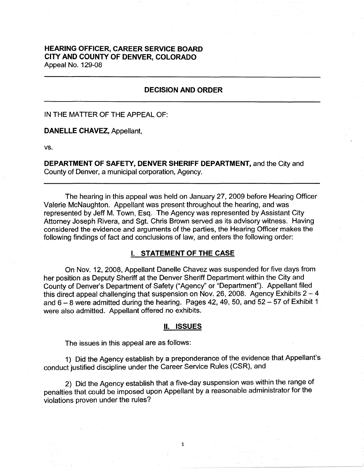# **HEARING OFFICER, CAREER SERVICE BOARD CITY AND COUNTY OF DENVER, COLORADO**  Appeal No. 129-08

# **DECISION AND ORDER**

### IN THE MATTER OF THE APPEAL OF:

## **DANELLE CHAVEZ,** Appellant,

vs.

**DEPARTMENT OF SAFETY, DENVER SHERIFF DEPARTMENT,** and the City and County of Denver, a municipal corporation, Agency.

The hearing in this appeal was held on January 27, 2009 before Hearing Officer Valerie McNaughton. Appellant was present throughout the hearing, and was represented by Jeff M. Town, Esq. The Agency was represented by Assistant City Attorney Joseph Rivera, and Sgt. Chris Brown served as its advisory witness. Having considered the evidence and arguments of the parties, the Hearing Officer makes the following findings of fact and conclusions of law, and enters the following order:

## I. **STATEMENT OF THE CASE**

On Nov. 12, 2008, Appellant Danelle Chavez was suspended for five days from her position as Deputy Sheriff at the Denver Sheriff Department within the City and County of Denver's Department of Safety ("Agency" or "Department"). Appellant filed this direct appeal challenging that suspension on Nov. 26, 2008. Agency Exhibits  $2 - 4$ and  $6 - 8$  were admitted during the hearing. Pages 42, 49, 50, and  $52 - 57$  of Exhibit 1 were also admitted. Appellant offered no exhibits.

#### II. **ISSUES**

The issues in this appeal are as follows:

1) Did the Agency establish by a preponderance of the evidence that Appellant's conduct justified discipline under the Career Service Rules (CSR), and

2) Did the Agency establish that a five-day suspension was within the range of penalties that could be imposed upon Appellant by a reasonable administrator for the violations proven under the rules?

1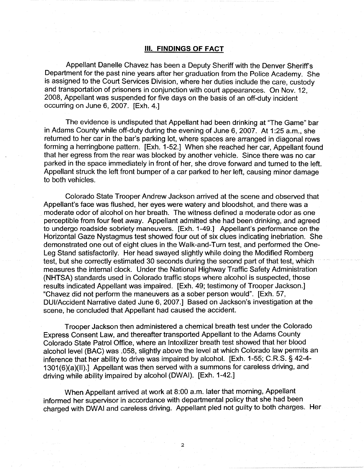## Ill. **FINDINGS OF FACT**

Appellant Danelle Chavez has been a Deputy Sheriff with the Denver Sheriff's Department for the past nine years after her graduation from the Police Academy. She is assigned to the Court Services Division, where her duties include the care, custody and transportation of prisoners in conjunction with court appearances. On Nov. 12, 2008, Appellant was suspended for five days on the basis of an off-duty incident occurring on June 6, 2007. [Exh. 4.]

The evidence is undisputed that Appellant had been drinking at "The Game" bar in Adams County while off-duty during the evening of June 6, 2007. At 1 :25 a.m., she returned to her car in the bar's parking lot, where spaces are arranged in diagonal rows forming a herringbone pattern. [Exh. 1-52.] When she reached her car, Appellant found that her egress from the rear was blocked by another vehicle. Since there was no car parked in the space immediately in front of her, she drove forward and turned to the left. Appellant struck the left front bumper of a car parked to her left, causing minor damage to both vehicles.

Colorado State Trooper Andrew Jackson arrived at the scene and observed that Appellant's face was flushed, her eyes were watery and bloodshot, and there was a moderate odor of alcohol on her breath. The witness defined a moderate odor as one perceptible from four feet away. Appellant admitted she had been drinking, and agreed to undergo roadside sobriety maneuvers. [Exh. 1-49.] Appellant's performance on the Horizontal Gaze Nystagmus test showed four out of six clues indicating inebriation. She demonstrated one out of eight clues in the Walk-and-Turn test, and performed the One-Leg Stand satisfactorily. Her head swayed slightly while doing the Modified Romberg test, but she correctly estimated 30 seconds during the second part of that test, which measures the internal clock. Under the National Highway Traffic Safety Administration (NHTSA) standards used in Colorado traffic stops where alcohol is suspected, those results indicated Appellant was impaired. [Exh. 49; testimony of Trooper Jackson.] "Chavez did not perform the maneuvers as a sober person would". [Exh. 57, DUI/Accident Narrative dated June 6, 2007.] Based on Jackson's investigation at the scene, he concluded that Appellant had caused the accident.

Trooper Jackson then administered a chemical breath test under the Colorado Express Consent Law, and thereafter transported Appellant to the Adams County Colorado State Patrol Office, where an lntoxilizer breath test showed that her blood alcohol level (BAC) was .058, slightly above the level at which Colorado law permits an inference that her ability to drive was impaired by alcohol. [Exh. 1-55; C.R.S. § 42-4- 1301 (6)(a)(II).] Appellant was then served with a summons for careless driving, and driving while ability impaired by alcohol (DWAI). [Exh. 1-42.]

When Appellant arrived at work at 8:00 a.m. later that morning, Appellant informed her supervisor in accordance with departmental policy that she had been charged with DWAI and careless driving. Appellant pied not guilty to both charges. Her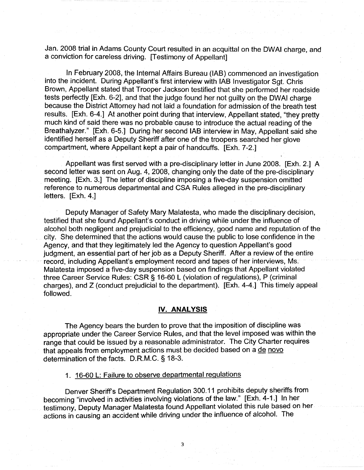Jan. 2008 trial in Adams County Court resulted in an acquittal on the DWAI charge, and a conviction for careless driving. [Testimony of Appellant]

In February 2008, the Internal Affairs Bureau (IAB) commenced an investigation into the incident. During Appellant's first interview with IAB Investigator Sgt. Chris Brown, Appellant stated that Trooper Jackson testified that she performed her roadside tests perfectly [Exh. 6-2], and that the judge found her not guilty on the DWAI charge because the District Attorney had not laid a foundation for admission of the breath test results. [Exh. 6-4.] At another point during that interview, Appellant stated, "they pretty much kind of said there was no probable cause to introduce the actual reading of the Breathalyzer." [Exh. 6-5.] During her second IAB interview in May, Appellant said she identified herself as a Deputy Sheriff after one of the troopers searched her glove compartment, where Appellant kept a pair of handcuffs. [Exh. 7-2.]

Appellant was first served with a pre-disciplinary letter in June 2008. [Exh. 2.] A second letter was sent on Aug. 4, 2008, changing only the date of the pre-disciplinary meeting. [Exh. 3.] The letter of discipline imposing a five-day suspension omitted reference to numerous departmental and CSA Rules alleged in the pre-disciplinary letters. [Exh. 4.]

Deputy Manager of Safety Mary Malatesta, who made the disciplinary decision, testified that she found Appellant's conduct in driving while under the influence of alcohol both negligent and prejudicial to the efficiency, good name and reputation of the city. She determined that the actions would cause the public to lose confidence in the Agency, and that they legitimately led the Agency to question Appellant's good judgment, an essential part of her job as a Deputy Sheriff. After a review of the entire record, including Appellant's employment record and tapes of her interviews, Ms. Malatesta imposed a five-day suspension based on findings that Appellant violated three Career Service Rules: CSR§ 16-60 L (violation of regulations), P (criminal charges), and Z (conduct prejudicial to the department). [Exh. 4-4.] This timely appeal followed.

### **IV. ANALYSIS**

The Agency bears the burden to prove that the imposition of discipline was appropriate under the Career Service Rules, and that the level imposed was within the range that could be issued by a reasonable administrator. The City Charter requires that appeals from employment actions must be decided based on a de novo determination of the facts. D.R.M.C. § 18-3.

1. 16-60 L: Failure to observe departmental regulations

Denver Sheriff's Department Regulation 300.11 prohibits deputy sheriffs from becoming "involved in activities involving violations of the law." [Exh. 4-1.] In her testimony, Deputy Manager Malatesta found Appellant violated this rule based on her actions in causing an accident while driving under the influence of alcohol. The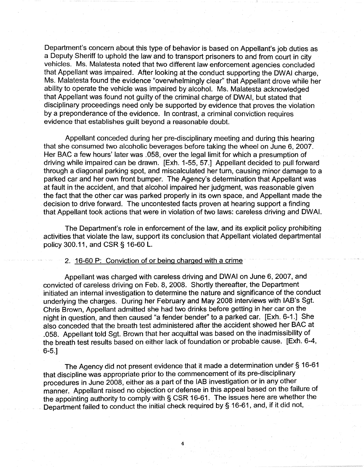Department's concern about this type of behavior is based on Appellant's job duties as a Deputy Sheriff to uphold the law and to transport prisoners to and from court in city vehicles. Ms. Malatesta noted that two different law enforcement agencies concluded that Appellant was impaired. After looking at the conduct supporting the DWAI charge, Ms. Malatesta found the evidence "overwhelmingly clear" that Appellant drove while her ability to operate the vehicle was impaired by alcohol. Ms. Malatesta acknowledged that Appellant was found not guilty of the criminal charge of DWAI, but stated that disciplinary proceedings need only be supported by evidence that proves the violation by a preponderance of the evidence. In contrast, a criminal conviction requires evidence that establishes guilt beyond a reasonable doubt.

Appellant conceded during her pre-disciplinary meeting and during this hearing that she consumed two alcoholic beverages before taking the wheel on June 6, 2007. Her BAC a few hours' later was .058, over the legal limit for which a presumption of driving while impaired can be drawn. [Exh. 1-55, 57.] Appellant decided to pull forward through a diagonal parking spot, and miscalculated her turn, causing minor damage to a parked car and her own front bumper. The Agency's determination that Appellant was at fault in the accident, and that alcohol impaired her judgment, was reasonable given the fact that the other car was parked properly in its own space, and Appellant made the decision to drive forward. The uncontested facts proven at hearing support a finding that Appellant took actions that were in violation of two laws: careless driving and DWAI.

The Department's role in enforcement of the law, and its explicit policy prohibiting activities that violate the law, support its conclusion that Appellant violated departmental policy 300.11, and CSR § 16-60 L.

### 2. · 16-60 P: Conviction of or being charged with a crime

Appellant was charged with careless driving and DWAI on June 6, 2007, and convicted of careless driving on Feb. 8, 2008. Shortly thereafter, the Department initiated an internal investigation to determine the nature and significance of the conduct underlying the charges. During her February and May 2008 interviews with IAB's Sgt. Chris Brown, Appellant admitted she had two drinks before getting in her car on the night in question, and then caused "a fender bender" to a parked car. [Exh. 6-1.] She also conceded that the breath test administered after the accident showed her BAC at .058. Appellant told Sgt. Brown that her acquittal was based on the inadmissibility of the breath test results based on either lack of foundation or probable cause. [Exh. 6-4, 6-5.]

The Agency did not present evidence that it made a determination under§ 16-61 that discipline was appropriate prior to the commencement of its pre-disciplinary procedures in June 2008, either as a part of the IAB investigation or in any other\_ manner. Appellant raised no objection or defense in this appeal based on the failure of the appointing authority to comply with § CSR 16-61. The issues here are whether the Department failed to conduct the initial check required by § 16-61, and, if it did not,

4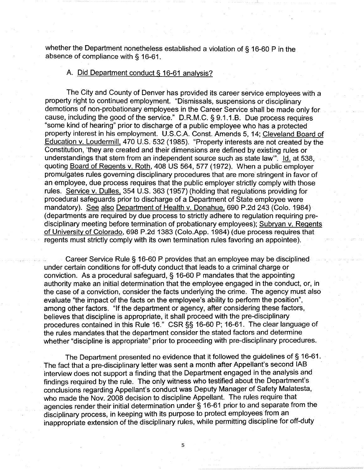whether the Department nonetheless established a violation of § 16-60 P in the absence of compliance with § 16-61.

## A. Did Department conduct§ 16-61 analysis?

The City and County of Denver has provided its career service employees with a property right to continued employment. "Dismissals, suspensions or disciplinary demotions of non-probationary employees in the Career Service shall be made only for cause, including the good of the service." D.R.M.C. § 9.1.1.B. Due process requires "some kind of hearing" prior to discharge of a public employee who has a protected property interest in his employment. U.S.C.A. Const. Amends 5, 14; Cleveland Board of Education v. Loudermill, 470 U.S. 532 (1985). "Property interests are not created by the Constitution, 'they are created and their dimensions are defined by existing rules or understandings that stem from an independent source such as state law". Id. at 538, quoting Board of Regents v. Roth, 408 US 564, 577 (1972). When a public employer promulgates rules governing disciplinary procedures that are more stringent in favor of an employee, due process requires that the public employer strictly comply with those rules. Service v. Dulles, 354 U.S. 363 (1957) (holding that regulations providing for procedural safeguards prior to discharge of a Department of State employee were mandatory). See also Department of Health v. Donahue, 690 P.2d 243 (Colo. 1984) ( departments are required by due process to strictly adhere to regulation requiring predisciplinary meeting before termination of probationary employees); Subryan v. Regents of University of Colorado, 698 P.2d 1383 (Colo.App. 1984) (due process requires that regents must strictly comply with its own termination rules favoring an appointee).

Career Service Rule § 16-60 P provides that an employee may be disciplined under certain conditions for off-duty conduct that leads to a criminal charge or conviction. As a procedural safeguard, § 16-60 P mandates that the appointing authority make an initial determination that the employee engaged in the conduct, or, in the case of a conviction, consider the facts underlying the crime. The agency must also evaluate "the impact of the facts on the employee's ability to perform the position", among other factors. "If the department or agency, after considering these factors, believes that discipline is appropriate, it shall proceed with the pre-disciplinary procedures contained in this Rule 16." CSR§§ 16-60 P; 16-61. The clear language of the rules mandates that the department consider the stated factors and determine whether "discipline is appropriate" prior to proceeding with pre-disciplinary procedures.

The Department presented no evidence that it followed the guidelines of§ 16-61. The fact that a pre-disciplinary letter was sent a month after Appellant's second IAB interview does not support a finding that the Department engaged in the analysis and findings required by the rule. The only witness who testified about the Department's conclusions regarding Appellant's conduct was Deputy Manager of Safety Malatesta, who made the Nov. 2008 decision to discipline Appellant. The rules require that agencies render their initial determination under§ 16-61 prior to and separate from the disciplinary process, in keeping with its purpose to protect employees from an inappropriate extension of the disciplinary rules, while permitting discipline for off-duty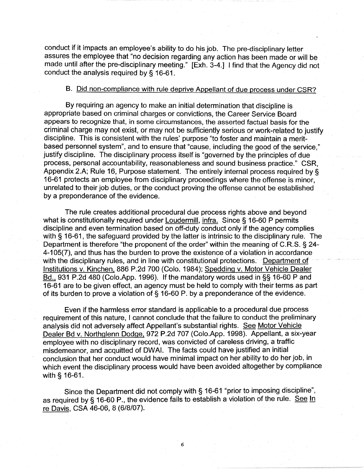conduct if it impacts an employee's ability to do his job. The pre-disciplinary letter assures the employee that "no decision regarding any action has been made or will be made until after the pre-disciplinary meeting." [Exh. 3-4.] I find that the Agency did not conduct the analysis required by § 16-61.

# B. Did non-compliance with rule deprive Appellant of due process under CSR?

By requiring an agency to make an initial determination that discipline is appropriate based on criminal charges or convictions, the Career Service Board appears to recognize that, in some circumstances, the asserted factual basis for the criminal charge may not exist, or may not be sufficiently serious or work-related to justify discipline. This is consistent with the rules' purpose "to foster and maintain a meritbased personnel system", and to ensure that "cause, including the good of the service," justify discipline. The disciplinary process itself is "governed by the principles of due process, personal accountability, reasonableness and sound business practice." CSR, Appendix 2.A; Rule 16, Purpose statement. The entirely internal process required by § 16-61 protects an employee from disciplinary proceedings where the offense is minor, unrelated to their job duties, or the conduct proving the offense cannot be established by a preponderance of the evidence.

The rule creates additional procedural due process rights above and beyond what is constitutionally required under Loudermill, infra. Since § 16-60 P permits discipline and even termination based on off-duty conduct only if the agency complies with § 16-61, the safeguard provided by the latter is intrinsic to the disciplinary rule. The Department is therefore "the proponent of the order" within the meaning of C.R.S. § 24- 4-105(7), and thus has the burden to prove the existence of a violation in accordance with the disciplinary rules, and in line with constitutional protections. Department of Institutions v. Kinchen. 886 P.2d 700 (Colo. 1984); Spedding v. Motor Vehicle Dealer Bd., 931 P.2d 480 (Colo.App. 1996). If the mandatory words used in §§ 16-60 P and 16-61 are to be given effect, an agency must be held to comply with their terms as part of its burden to prove a violation of§ 16-60 P. by a preponderance of the evidence.

Even if the harmless error standard is applicable to a procedural due process requirement of this nature, I cannot conclude that the failure to conduct the preliminary analysis did not adversely affect Appellant's substantial rights. See Motor Vehicle Dealer Bd v. Northglenn Dodge, 972 P.2d 707 (Colo.App. 1998). Appellant, a six-year employee with no disciplinary record, was convicted of careless driving, a traffic misdemeanor, and acquitted of DWAI. The facts could have justified an initial conclusion that her conduct would have minimal impact on her ability to do her job, in which event the disciplinary process would have been avoided altogether by compliance with § 16-61.

Since the Department did not comply with§ 16-61 "prior to imposing discipline", as required by § 16-60 P., the evidence fails to establish a violation of the rule. See In re Davis, CSA 46-06, 8 {6/8/07).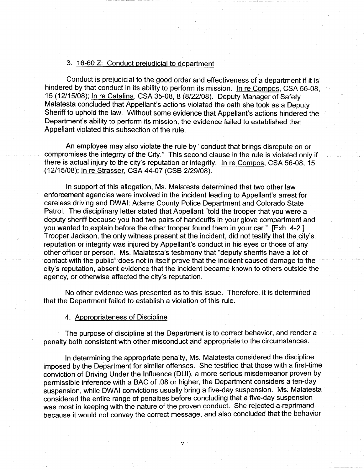#### 3. 16-60 Z: Conduct prejudicial to department

Conduct is prejudicial to the good order and effectiveness of a department if it is hindered by that conduct in its ability to perform its mission. In re Compos, CSA 56-08. 15 (12/15/08); In re Catalina, CSA 35-08, 8 (8/22/08). Deputy Manager of Safety Malatesta concluded that Appellant's actions violated the oath she took as a Deputy Sheriff to uphold the law. Without some evidence that Appellant's actions hindered the Department's ability to perform its mission, the evidence failed to established that Appellant violated this subsection of the rule.

An employee may also violate the rule by "conduct that brings disrepute on or compromises the integrity of the City." This second clause in the rule is violated only if there is actual injury to the city's reputation or integrity. In re Compos, CSA 56-08, 15 (12/15/08); In re Strasser, CSA 44-07 (CSB 2/29/08).

In support of this allegation, Ms. Malatesta determined that two other law enforcement agencies were involved in the incident leading to Appellant's arrest for careless driving and DWAI: Adams County Police Department and Colorado State Patrol. The disciplinary letter stated that Appellant "told the trooper that you were a deputy sheriff because you had two pairs of handcuffs in your glove compartment and you wanted to explain before the other trooper found them in your car." [Exh. 4-2.] Trooper Jackson, the only witness present at the incident, did not testify that the city's reputation or integrity was injured by Appellant's conduct in his eyes or those of any other officer or person. Ms. Malatesta's testimony that "deputy sheriffs have a lot of contact with the public" does not in itself prove that the incident caused damage to the city's reputation, absent evidence that the incident became known to others outside the agency, or otherwise affected the city's reputation.

No other evidence was presented as to this issue. Therefore, it is determined that the Department failed to establish a violation of this rule.

#### 4. Appropriateness of Discipline

The purpose of discipline at the Department is to correct behavior, and render a penalty both consistent with other misconduct and appropriate to the circumstances.

In determining the appropriate penalty, Ms. Malatesta considered the discipline imposed by the Department for similar offenses. She testified that those with a first-time conviction of Driving Under the Influence (DUI), a more serious misdemeanor proven by permissible inference with a BAC of .08 or higher, the Department considers a ten-day suspension, while DWAI convictions usually bring a five-day suspension. Ms. Malatesta considered the entire range of penalties before concluding that a five-day suspension was most in keeping with the nature of the proven conduct. She rejected a reprimand because it would not convey the correct message, and also concluded that the behavior